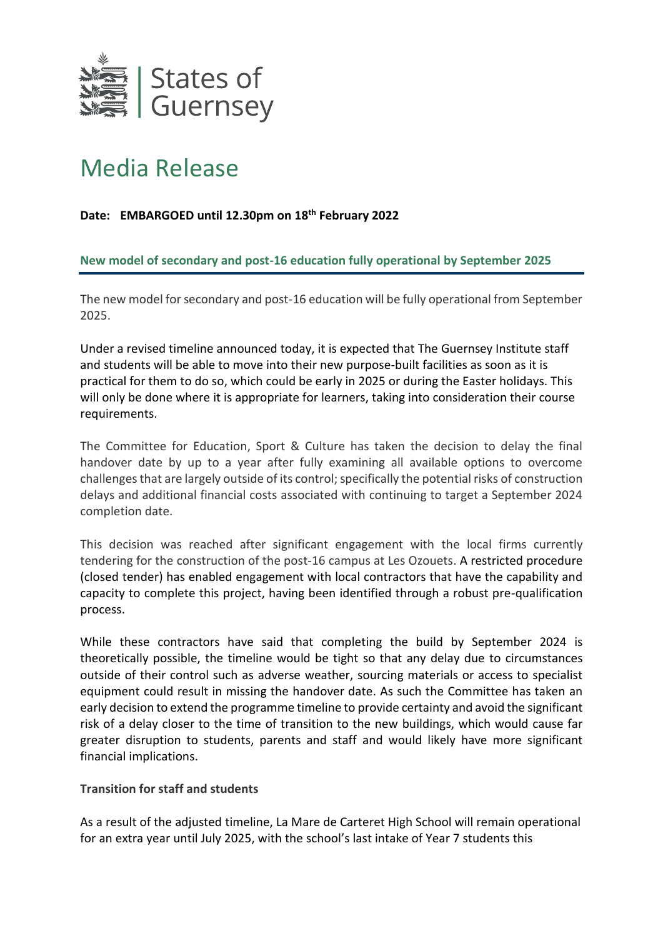

# Media Release

## **Date: EMBARGOED until 12.30pm on 18th February 2022**

### **New model of secondary and post-16 education fully operational by September 2025**

The new model for secondary and post-16 education will be fully operational from September 2025.

Under a revised timeline announced today, it is expected that The Guernsey Institute staff and students will be able to move into their new purpose-built facilities as soon as it is practical for them to do so, which could be early in 2025 or during the Easter holidays. This will only be done where it is appropriate for learners, taking into consideration their course requirements.

The Committee for Education, Sport & Culture has taken the decision to delay the final handover date by up to a year after fully examining all available options to overcome challenges that are largely outside of its control; specifically the potential risks of construction delays and additional financial costs associated with continuing to target a September 2024 completion date.

This decision was reached after significant engagement with the local firms currently tendering for the construction of the post-16 campus at Les Ozouets. A restricted procedure (closed tender) has enabled engagement with local contractors that have the capability and capacity to complete this project, having been identified through a robust pre-qualification process.

While these contractors have said that completing the build by September 2024 is theoretically possible, the timeline would be tight so that any delay due to circumstances outside of their control such as adverse weather, sourcing materials or access to specialist equipment could result in missing the handover date. As such the Committee has taken an early decision to extend the programme timeline to provide certainty and avoid the significant risk of a delay closer to the time of transition to the new buildings, which would cause far greater disruption to students, parents and staff and would likely have more significant financial implications.

#### **Transition for staff and students**

As a result of the adjusted timeline, La Mare de Carteret High School will remain operational for an extra year until July 2025, with the school's last intake of Year 7 students this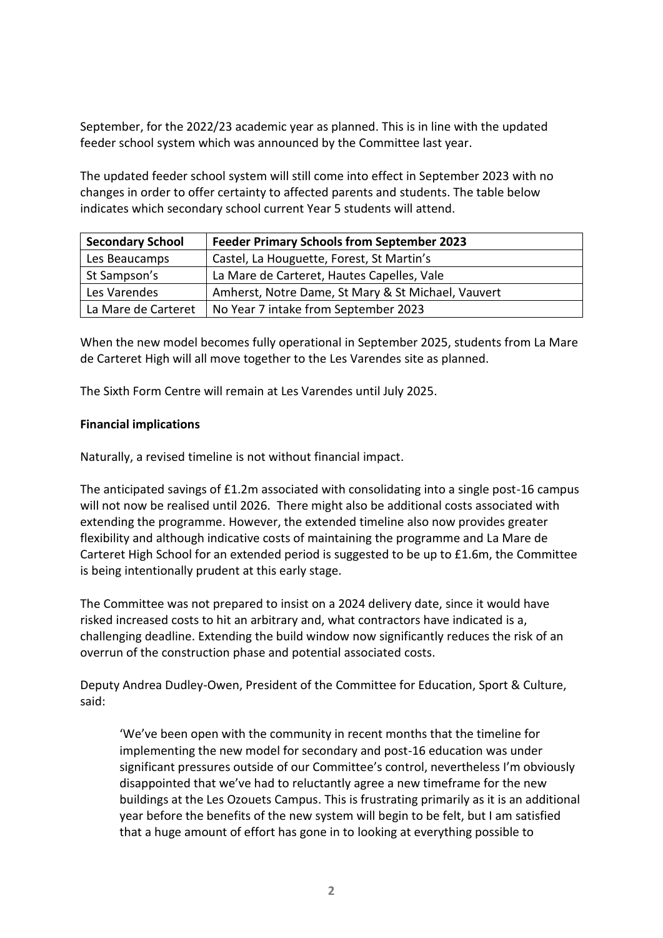September, for the 2022/23 academic year as planned. This is in line with the updated feeder school system which was announced by the Committee last year.

The updated feeder school system will still come into effect in September 2023 with no changes in order to offer certainty to affected parents and students. The table below indicates which secondary school current Year 5 students will attend.

| <b>Secondary School</b> | <b>Feeder Primary Schools from September 2023</b>  |
|-------------------------|----------------------------------------------------|
| Les Beaucamps           | Castel, La Houguette, Forest, St Martin's          |
| St Sampson's            | La Mare de Carteret, Hautes Capelles, Vale         |
| Les Varendes            | Amherst, Notre Dame, St Mary & St Michael, Vauvert |
| La Mare de Carteret     | No Year 7 intake from September 2023               |

When the new model becomes fully operational in September 2025, students from La Mare de Carteret High will all move together to the Les Varendes site as planned.

The Sixth Form Centre will remain at Les Varendes until July 2025.

### **Financial implications**

Naturally, a revised timeline is not without financial impact.

The anticipated savings of £1.2m associated with consolidating into a single post-16 campus will not now be realised until 2026. There might also be additional costs associated with extending the programme. However, the extended timeline also now provides greater flexibility and although indicative costs of maintaining the programme and La Mare de Carteret High School for an extended period is suggested to be up to £1.6m, the Committee is being intentionally prudent at this early stage.

The Committee was not prepared to insist on a 2024 delivery date, since it would have risked increased costs to hit an arbitrary and, what contractors have indicated is a, challenging deadline. Extending the build window now significantly reduces the risk of an overrun of the construction phase and potential associated costs.

Deputy Andrea Dudley-Owen, President of the Committee for Education, Sport & Culture, said:

'We've been open with the community in recent months that the timeline for implementing the new model for secondary and post-16 education was under significant pressures outside of our Committee's control, nevertheless I'm obviously disappointed that we've had to reluctantly agree a new timeframe for the new buildings at the Les Ozouets Campus. This is frustrating primarily as it is an additional year before the benefits of the new system will begin to be felt, but I am satisfied that a huge amount of effort has gone in to looking at everything possible to